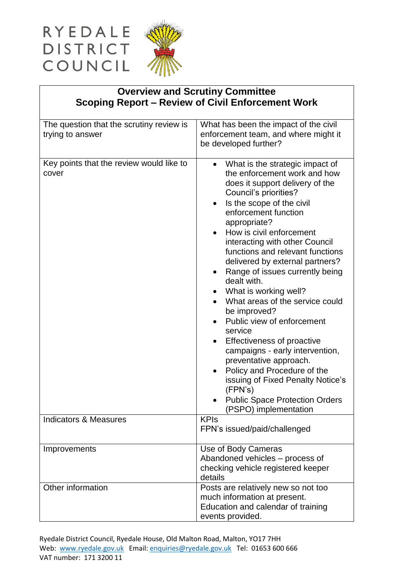## RYEDALE **DISTRICT** COUNCIL



## **Overview and Scrutiny Committee Scoping Report – Review of Civil Enforcement Work**

| The question that the scrutiny review is<br>trying to answer | What has been the impact of the civil<br>enforcement team, and where might it<br>be developed further?                                                                                                                                                                                                                                                                                                                                                                                                                                                                                                                                                                                                                                                                             |
|--------------------------------------------------------------|------------------------------------------------------------------------------------------------------------------------------------------------------------------------------------------------------------------------------------------------------------------------------------------------------------------------------------------------------------------------------------------------------------------------------------------------------------------------------------------------------------------------------------------------------------------------------------------------------------------------------------------------------------------------------------------------------------------------------------------------------------------------------------|
| Key points that the review would like to<br>cover            | What is the strategic impact of<br>$\bullet$<br>the enforcement work and how<br>does it support delivery of the<br>Council's priorities?<br>Is the scope of the civil<br>enforcement function<br>appropriate?<br>How is civil enforcement<br>interacting with other Council<br>functions and relevant functions<br>delivered by external partners?<br>Range of issues currently being<br>$\bullet$<br>dealt with.<br>What is working well?<br>What areas of the service could<br>be improved?<br>Public view of enforcement<br>service<br>Effectiveness of proactive<br>campaigns - early intervention,<br>preventative approach.<br>Policy and Procedure of the<br>issuing of Fixed Penalty Notice's<br>(FPN's)<br><b>Public Space Protection Orders</b><br>(PSPO) implementation |
| <b>Indicators &amp; Measures</b>                             | <b>KPIs</b>                                                                                                                                                                                                                                                                                                                                                                                                                                                                                                                                                                                                                                                                                                                                                                        |
|                                                              | FPN's issued/paid/challenged                                                                                                                                                                                                                                                                                                                                                                                                                                                                                                                                                                                                                                                                                                                                                       |
| Improvements                                                 | Use of Body Cameras                                                                                                                                                                                                                                                                                                                                                                                                                                                                                                                                                                                                                                                                                                                                                                |
|                                                              | Abandoned vehicles - process of                                                                                                                                                                                                                                                                                                                                                                                                                                                                                                                                                                                                                                                                                                                                                    |
|                                                              | checking vehicle registered keeper<br>details                                                                                                                                                                                                                                                                                                                                                                                                                                                                                                                                                                                                                                                                                                                                      |
| Other information                                            | Posts are relatively new so not too                                                                                                                                                                                                                                                                                                                                                                                                                                                                                                                                                                                                                                                                                                                                                |
|                                                              | much information at present.                                                                                                                                                                                                                                                                                                                                                                                                                                                                                                                                                                                                                                                                                                                                                       |
|                                                              | Education and calendar of training                                                                                                                                                                                                                                                                                                                                                                                                                                                                                                                                                                                                                                                                                                                                                 |
|                                                              | events provided.                                                                                                                                                                                                                                                                                                                                                                                                                                                                                                                                                                                                                                                                                                                                                                   |